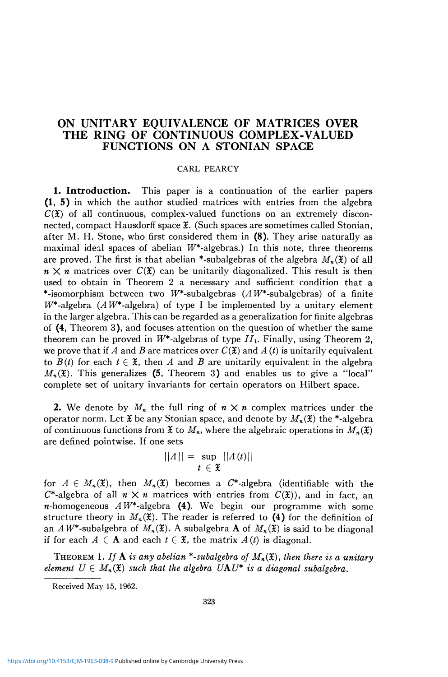# **ON UNITARY EQUIVALENCE OF MATRICES OVER THE RING OF CONTINUOUS COMPLEX-VALUED FUNCTIONS ON A STONIAN SPACE**

### CARL PEARCY

**1. Introduction.** This paper is a continuation of the earlier papers (1, 5) in which the author studied matrices with entries from the algebra  $C(\mathfrak{X})$  of all continuous, complex-valued functions on an extremely disconnected, compact Hausdorff space *H.* (Such spaces are sometimes called Stonian, after M. H. Stone, who first considered them in  $(8)$ . They arise naturally as maximal ideal spaces of abelian  $W^*$ -algebras.) In this note, three theorems are proved. The first is that abelian \*-subalgebras of the algebra  $M_n(\mathfrak{X})$  of all  $n \times n$  matrices over  $C(\mathfrak{X})$  can be unitarily diagonalized. This result is then used to obtain in Theorem 2 a necessary and sufficient condition that a \*-isomorphism between two  $W^*$ -subalgebras (AW\*-subalgebras) of a finite  $W^*$ -algebra (AW<sup>\*</sup>-algebra) of type I be implemented by a unitary element in the larger algebra. This can be regarded as a generalization for finite algebras of (4, Theorem 3), and focuses attention on the question of whether the same theorem can be proved in  $W^*$ -algebras of type  $II_1$ . Finally, using Theorem 2, we prove that if A and B are matrices over  $C(\mathfrak{X})$  and  $A(t)$  is unitarily equivalent to  $B(t)$  for each  $t \in \mathfrak{X}$ , then A and B are unitarily equivalent in the algebra  $M_n(\mathfrak{X})$ . This generalizes (5, Theorem 3) and enables us to give a "local" complete set of unitary invariants for certain operators on Hilbert space.

**2.** We denote by  $M_n$  the full ring of  $n \times n$  complex matrices under the operator norm. Let  $\tilde{x}$  be any Stonian space, and denote by  $M_n(\tilde{x})$  the \*-algebra of continuous functions from  $\mathfrak{X}$  to  $M_n$ , where the algebraic operations in  $M_n(\mathfrak{X})$ are defined pointwise. If one sets

$$
||A|| = \sup_{t \in \mathfrak{X}} ||A(t)||
$$

for  $A \in M_n(\mathfrak{X})$ , then  $M_n(\mathfrak{X})$  becomes a C<sup>\*</sup>-algebra (identifiable with the  $C^*$ -algebra of all  $n \times n$  matrices with entries from  $C(\mathfrak{X})$ , and in fact, an *n*-homogeneous  $AW^*$ -algebra (4). We begin our programme with some structure theory in  $M_n(\mathfrak{X})$ . The reader is referred to (4) for the definition of an  $AW^*$ -subalgebra of  $M_n(\mathfrak{X})$ . A subalgebra **A** of  $M_n(\mathfrak{X})$  is said to be diagonal if for each  $A \in \mathbf{A}$  and each  $t \in \mathfrak{X}$ , the matrix  $A(t)$  is diagonal.

THEOREM 1. If  $\bf{A}$  is any abelian \*-subalgebra of  $M_n(\mathfrak{X})$ , then there is a unitary *element*  $U \in M_n(\mathfrak{X})$  such that the algebra  $UAV^*$  is a diagonal subalgebra.

Received May 15, 1962.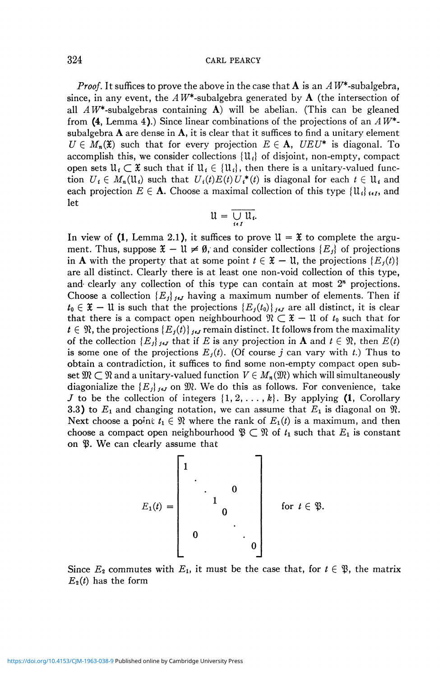### 324 **CARL PEARCY**

*Proof.* It suffices to prove the above in the case that  $\bf{A}$  is an  $\bf{A}$   $W^*$ -subalgebra, since, in any event, the  $AW^*$ -subalgebra generated by  $A$  (the intersection of all  $AW^*$ -subalgebras containing A) will be abelian. (This can be gleaned from (4, Lemma 4).) Since linear combinations of the projections of an *AW\** subalgebra  $\bf{A}$  are dense in  $\bf{A}$ , it is clear that it suffices to find a unitary element  $U \in M_n(\mathfrak{X})$  such that for every projection  $E \in A$ ,  $UEU^*$  is diagonal. To accomplish this, we consider collections  $\{\mathfrak{U}_i\}$  of disjoint, non-empty, compact open sets  $\mathfrak{U}_i \subset \mathfrak{X}$  such that if  $\mathfrak{U}_i \in \{ \mathfrak{U}_i \}$ , then there is a unitary-valued function  $U_i \in M_n(\mathfrak{U}_i)$  such that  $U_i(t)E(t)U_i^*(t)$  is diagonal for each  $t \in \mathfrak{U}_i$  and each projection  $E \in \mathbf{A}$ . Choose a maximal collection of this type  $\{\mathfrak{U}_i\}_{i \in I}$ , and let

$$
\mathfrak{U}=\overline{\bigcup_{i\in I}\mathfrak{U}_{i}}.
$$

In view of (1, Lemma 2.1), it suffices to prove  $\mathfrak{U} = \mathfrak{X}$  to complete the argument. Thus, suppose  $\mathfrak{X} - \mathfrak{U} \neq \emptyset$ , and consider collections  $\{E_i\}$  of projections in **A** with the property that at some point  $t \in \mathfrak{X} - \mathfrak{U}$ , the projections  $\{E_j(t)\}$ are all distinct. Clearly there is at least one non-void collection of this type, and clearly any collection of this type can contain at most  $2<sup>n</sup>$  projections. Choose a collection  ${E_j}_{j \epsilon j}$  having a maximum number of elements. Then if  $t_0 \in \mathfrak{X} - \mathfrak{U}$  is such that the projections  $\{E_j(t_0)\}_{j \in J}$  are all distinct, it is clear that there is a compact open neighbourhood  $\mathfrak{N} \subset \mathfrak{X} - \mathfrak{U}$  of  $t_0$  such that for  $t \in \mathfrak{N}$ , the projections  $\{E_j(t)\}_{j \in J}$  remain distinct. It follows from the maximality of the collection  ${E_j}_{j \in J}$  that if *E* is any projection in **A** and  $t \in \mathcal{R}$ , then  $E(t)$ is some one of the projections  $E_j(t)$ . (Of course j can vary with t.) Thus to obtain a contradiction, it suffices to find some non-empty compact open subset  $\mathfrak{M} \subset \mathfrak{N}$  and a unitary-valued function  $V \in M_n(\mathfrak{M})$  which will simultaneously diagonialize the  ${E_j}_{j,t}$  on  $\mathfrak{M}$ . We do this as follows. For convenience, take J to be the collection of integers  $\{1, 2, \ldots, k\}$ . By applying (1, Corollary 3.3) to  $E_1$  and changing notation, we can assume that  $E_1$  is diagonal on  $\mathfrak{N}$ . Next choose a point  $t_1 \in \mathcal{R}$  where the rank of  $E_1(t)$  is a maximum, and then choose a compact open neighbourhood  $\mathfrak{P} \subset \mathfrak{R}$  of  $t_1$  such that  $E_1$  is constant on *ty.* We can clearly assume that

$$
E_1(t) = \begin{bmatrix} 1 & & & & \\ & \ddots & & & \\ & & 1 & & \\ & & & 0 & \\ & & & & \ddots \\ 0 & & & & & 0 \end{bmatrix} \quad \text{for } t \in \mathfrak{P}.
$$

Since  $E_2$  commutes with  $E_1$ , it must be the case that, for  $t \in \mathfrak{P}$ , the matrix  $E_2(t)$  has the form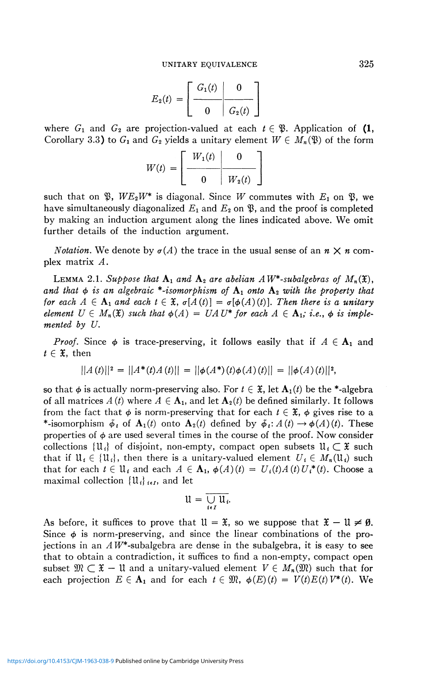$$
E_2(t) = \left[\begin{array}{c|c} G_1(t) & 0 \\ \hline 0 & G_2(t) \end{array}\right]
$$

where  $G_1$  and  $G_2$  are projection-valued at each  $t \in \mathfrak{B}$ . Application of (1, Corollary 3.3) to  $G_1$  and  $G_2$  yields a unitary element  $W \in M_n(\mathfrak{B})$  of the form

$$
W(t) = \left[\begin{array}{c|c} W_1(t) & 0 \\ \hline 0 & W_2(t) \end{array}\right]
$$

such that on  $\mathfrak{P}$ ,  $WE_2W^*$  is diagonal. Since W commutes with  $E_1$  on  $\mathfrak{P}$ , we have simultaneously diagonalized  $E_1$  and  $E_2$  on  $\mathfrak{P}$ , and the proof is completed by making an induction argument along the lines indicated above. We omit further details of the induction argument.

*Notation.* We denote by  $\sigma(A)$  the trace in the usual sense of an  $n \times n$  complex matrix *A.* 

LEMMA 2.1. Suppose that  $A_1$  and  $A_2$  are abelian  $AW^*$ -subalgebras of  $M_n(\mathfrak{X})$ , and that  $\phi$  is an algebraic \*-isomorphism of  $A_1$  onto  $A_2$  with the property that *for each*  $A \in \mathbf{A}_1$  *and each*  $t \in \mathfrak{X}$ ,  $\sigma[A(t)] = \sigma[\phi(A)(t)]$ . Then there is a unitary *element*  $U \in M_n(\mathfrak{X})$  such that  $\phi(A) = UA U^*$  for each  $A \in \mathbf{A}_1$ ; *i.e.*,  $\phi$  is imple*mented by U.* 

*Proof.* Since  $\phi$  is trace-preserving, it follows easily that if  $A \in \mathbf{A}_1$  and  $t \in \mathfrak{X}$ , then

$$
||A(t)||^2 = ||A^*(t)A(t)|| = ||\phi(A^*)(t)\phi(A)(t)|| = ||\phi(A)(t)||^2,
$$

so that  $\phi$  is actually norm-preserving also. For  $t \in \mathfrak{X}$ , let  $\mathbf{A}_1(t)$  be the \*-algebra of all matrices  $A(t)$  where  $A \in \mathbf{A}_1$ , and let  $\mathbf{A}_2(t)$  be defined similarly. It follows from the fact that  $\phi$  is norm-preserving that for each  $t \in \mathfrak{X}$ ,  $\phi$  gives rise to a \*-isomorphism  $\tilde{\phi}_t$  of  $\mathbf{A}_1(t)$  onto  $\mathbf{A}_2(t)$  defined by  $\tilde{\phi}_t: A(t) \to \phi(A)(t)$ . These properties of  $\phi$  are used several times in the course of the proof. Now consider collections  $\{\mathfrak{U}_i\}$  of disjoint, non-empty, compact open subsets  $\mathfrak{U}_i \subset \mathfrak{X}$  such that if  $\mathfrak{U}_i \in \{ \mathfrak{U}_i \}$ , then there is a unitary-valued element  $U_i \in M_n(\mathfrak{U}_i)$  such that for each  $t \in U_i$  and each  $A \in \mathbf{A}_1$ ,  $\phi(A)(t) = U_i(t)A(t)U_i^*(t)$ . Choose a maximal collection  $\{\mathfrak{U}_i\}_{i\in I}$ , and let

$$
\mathfrak{U}=\overline{\bigcup_{i\in I}\mathfrak{U}_{i}}.
$$

As before, it suffices to prove that  $\mathfrak{U} = \mathfrak{X}$ , so we suppose that  $\mathfrak{X} - \mathfrak{U} \neq \emptyset$ . Since  $\phi$  is norm-preserving, and since the linear combinations of the projections in an  $AW^*$ -subalgebra are dense in the subalgebra, it is easy to see that to obtain a contradiction, it suffices to find a non-empty, compact open subset  $\mathfrak{M} \subset \mathfrak{X}$  - 11 and a unitary-valued element  $V \in M_n(\mathfrak{M})$  such that for each projection  $E \in A_1$  and for each  $t \in \mathfrak{M}$ ,  $\phi(E)(t) = V(t)E(t)V^*(t)$ . We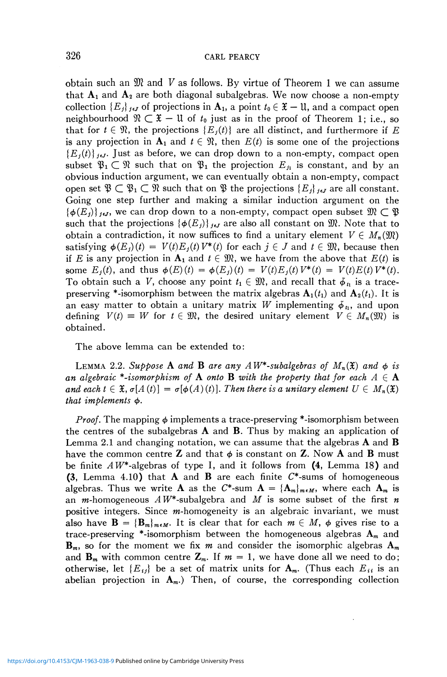obtain such an 9ft and *V* as follows. By virtue of Theorem 1 we can assume that  $A_1$  and  $A_2$  are both diagonal subalgebras. We now choose a non-empty collection  $\{E_j\}_{j\in J}$  of projections in  $\mathbf{A}_1$ , a point  $t_0 \in \mathfrak{X} - \mathfrak{U}$ , and a compact open neighbourhood  $\mathfrak{N} \subset \mathfrak{X} - \mathfrak{U}$  of  $t_0$  just as in the proof of Theorem 1; i.e., so that for  $t \in \mathcal{R}$ , the projections  $\{E_i(t)\}\$  are all distinct, and furthermore if E is any projection in  $A_1$  and  $t \in \mathcal{R}$ , then  $E(t)$  is some one of the projections  ${E_i(t)}_{i,j}$ , Just as before, we can drop down to a non-empty, compact open subset  $\mathfrak{P}_1 \subset \mathfrak{N}$  such that on  $\mathfrak{P}_1$  the projection  $E_{\hat{\mu}}$  is constant, and by an obvious induction argument, we can eventually obtain a non-empty, compact open set  $\mathfrak{P} \subset \mathfrak{P}_1 \subset \mathfrak{R}$  such that on  $\mathfrak{P}$  the projections  $\{E_j\}_{j \in J}$  are all constant. Going one step further and making a similar induction argument on the  $\{\phi(E_i)\}\mathcal{F}_i$ , we can drop down to a non-empty, compact open subset  $\mathfrak{M} \subset \mathfrak{B}$ such that the projections  $\{\phi(E_j)\}_{j\in\mathcal{J}}$  are also all constant on  $\mathfrak{M}$ . Note that to obtain a contradiction, it now suffices to find a unitary element  $V \in M_n(\mathfrak{M})$ satisfying  $\phi(E_i)(t) = V(t)E_i(t)V^*(t)$  for each  $j \in J$  and  $t \in \mathfrak{M}$ , because then if *E* is any projection in  $A_1$  and  $t \in \mathfrak{M}$ , we have from the above that  $E(t)$  is some  $E_j(t)$ , and thus  $\phi(E)(t) = \phi(E_j)(t) = V(t)E_j(t) V^*(t) = V(t)E(t) V^*(t).$ To obtain such a *V*, choose any point  $t_1 \in \mathfrak{M}$ , and recall that  $\phi_{t_1}$  is a tracepreserving \*-isomorphism between the matrix algebras  $A_1(t_1)$  and  $A_2(t_1)$ . It is an easy matter to obtain a unitary matrix W implementing  $\phi_n$ , and upon defining  $V(t) \equiv W$  for  $t \in \mathfrak{M}$ , the desired unitary element  $V \in M_n(\mathfrak{M})$  is obtained.

The above lemma can be extended to:

LEMMA 2.2. Suppose **A** and **B** are any  $AW^*$ -subalgebras of  $M_n(\mathfrak{X})$  and  $\phi$  is *an algebraic \*-isomorphism of*  $A$  *onto*  $B$  *with the property that for each*  $A \in \mathbf{A}$ and each  $t \in \mathfrak{X}$ ,  $\sigma[A(t)] = \sigma[\phi(A)(t)]$ . Then there is a unitary element  $U \in M_n(\mathfrak{X})$ that *implements*  $\phi$ .

*Proof.* The mapping  $\phi$  implements a trace-preserving \*-isomorphism between the centres of the subalgebras  $\bf{A}$  and  $\bf{B}$ . Thus by making an application of Lemma 2.1 and changing notation, we can assume that the algebras  $\bf{A}$  and  $\bf{B}$ have the common centre **Z** and that  $\phi$  is constant on **Z**. Now **A** and **B** must be finite *AW\**-algebras of type I, and it follows from (4, Lemma 18) and **(3, Lemma 4.10) that A and B are each finite C\*-sums of homogeneous** algebras. Thus we write **A** as the C\*-sum  $A = {A_m}_{m \in M}$ , where each  $A_m$  is an *m*-homogeneous  $AW^*$ -subalgebra and M is some subset of the first *n* positive integers. Since m-homogeneity is an algebraic invariant, we must also have  $\mathbf{B} = {\{\mathbf{B}_m\}}_{m \in M}$ . It is clear that for each  $m \in M$ ,  $\phi$  gives rise to a trace-preserving \*-isomorphism between the homogeneous algebras *Am* and **, so for the moment we fix** *m* **and consider the isomorphic algebras**  $**A**<sub>m</sub>$ and  $\mathbf{B}_m$  with common centre  $\mathbf{Z}_m$ . If  $m = 1$ , we have done all we need to do; otherwise, let  ${E_{ij}}$  be a set of matrix units for  $A_m$ . (Thus each  $E_{ii}$  is an abelian projection in  $A_m$ .) Then, of course, the corresponding collection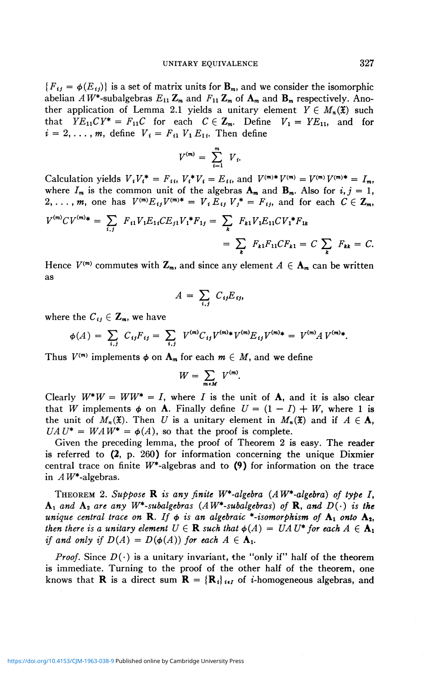${F_{ij} = \phi(E_{ij})}$  is a set of matrix units for  $\mathbf{B}_m$ , and we consider the isomorphic abelian  $AW^*$ -subalgebras  $E_{11}Z_m$  and  $F_{11}Z_m$  of  $A_m$  and  $B_m$  respectively. Another application of Lemma 2.1 yields a unitary element  $Y \in M_n(\mathfrak{X})$  such that  $YE_{11}CY^* = F_{11}C$  for each  $C \in \mathbb{Z}_m$ . Define  $V_1 = YE_{11}$ , and for  $i = 2, \ldots, m$ , define  $V_i = F_{i1} V_1 E_{1i}$ . Then define

$$
V^{(m)} = \sum_{i=1}^m V_i.
$$

Calculation yields  $V_t V_t^* = F_{t_t} V_t^* V_t = E_{t_t}$ , and  $V^{(m)*} V^{(m)} = V^{(m)} V^{(m)*} = I_m$ , where  $I_m$  is the common unit of the algebras  $\mathbf{A}_m$  and  $\mathbf{B}_m$ . Also for  $i, j = 1$ , 2, ..., *m*, one has  $V^{(m)}E_{ij}V^{(m)*} = V_i E_{ij} V_j^* = F_{ij}$ , and for each  $C \in \mathbb{Z}_m$ ,

$$
V^{(m)}CV^{(m)*} = \sum_{i,j} F_{i1}V_1E_{1i}CE_{j1}V_1*F_{1j} = \sum_k F_{k1}V_1E_{11}CV_1*F_{1k}
$$
  
= 
$$
\sum_k F_{k1}F_{11}CF_{k1} = C \sum_k F_{k1} = C.
$$

Hence  $V^{(m)}$  commutes with  $\mathbb{Z}_m$ , and since any element  $A \in \mathbf{A}_m$  can be written as

$$
A = \sum_{i,j} C_{ij} E_{ij},
$$

where the  $C_{ij} \in \mathbb{Z}_m$ , we have

$$
\phi(A) = \sum_{i,j} C_{ij} F_{ij} = \sum_{i,j} V^{(m)} C_{ij} V^{(m)} \Psi^{(m)} E_{ij} V^{(m)} \Psi = V^{(m)} A V^{(m)} \Psi.
$$

Thus  $V^{(m)}$  implements  $\phi$  on  $\mathbf{A}_m$  for each  $m \in M$ , and we define

$$
W = \sum_{m \in M} V^{(m)}.
$$

Clearly  $W^*W = WW^* = I$ , where I is the unit of **A**, and it is also clear that *W* implements  $\phi$  on **A**. Finally define  $U = (1 - I) + W$ , where 1 is the unit of  $M_n(\mathfrak{X})$ . Then U is a unitary element in  $M_n(\mathfrak{X})$  and if  $A \in \mathbf{A}$ ,  $UAU^* = WAW^* = \phi(A)$ , so that the proof is complete.

Given the preceding lemma, the proof of Theorem 2 is easy. The reader is referred to  $(2, p. 260)$  for information concerning the unique Dixmier central trace on finite  $W^*$ -algebras and to (9) for information on the trace in *A* W\*-algebras.

THEOREM 2. *Suppose* R *is any finite W\*-algebra (A W\*-algebra) of type* /,  $A_1$  *and*  $A_2$  *are any*  $W^*$ -subalgebras (AW<sup>\*</sup>-subalgebras) of **R**, and  $D(\cdot)$  is the *unique central trace on* **R**. If  $\phi$  is an algebraic \*-isomorphism of  $A_1$  onto  $A_2$ , *then there is a unitary element*  $U \in \mathbf{R}$  such that  $\phi(A) = UA U^*$  for each  $A \in \mathbf{A}_1$ *if and only if*  $D(A) = D(\phi(A))$  for each  $A \in \mathbf{A}_1$ .

*Proof.* Since  $D(\cdot)$  is a unitary invariant, the "only if" half of the theorem is immediate. Turning to the proof of the other half of the theorem, one knows that **R** is a direct sum  $\mathbf{R} = {\mathbf{R}_i}_{i \in I}$  of *i*-homogeneous algebras, and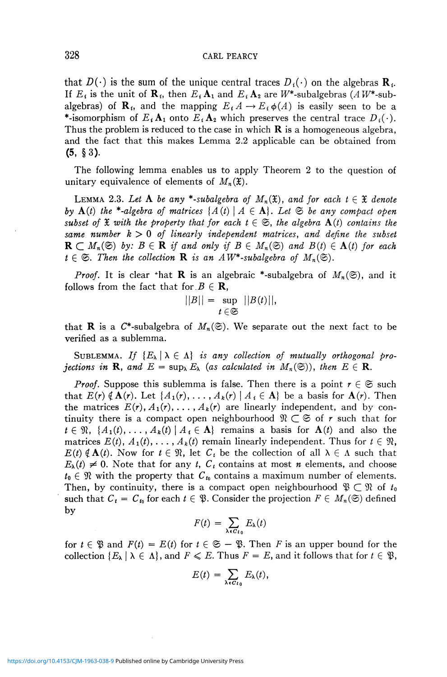that  $D(\cdot)$  is the sum of the unique central traces  $D_i(\cdot)$  on the algebras  $\mathbf{R}_i$ . If  $E_i$  is the unit of  $\mathbf{R}_i$ , then  $E_i \mathbf{A}_1$  and  $E_i \mathbf{A}_2$  are  $W^*$ -subalgebras  $(AW^*$ -subalgebras) of **R**<sub>*i*</sub>, and the mapping  $E_i A \rightarrow E_i \phi(A)$  is easily seen to be a \*-isomorphism of  $E_i \mathbf{A}_1$  onto  $E_i \mathbf{A}_2$  which preserves the central trace  $D_i(\cdot)$ . Thus the problem is reduced to the case in which  $\bf{R}$  is a homogeneous algebra, and the fact that this makes Lemma 2.2 applicable can be obtained from (5, § 3).

The following lemma enables us to apply Theorem 2 to the question of unitary equivalence of elements of  $M_n(\mathfrak{X})$ .

**LEMMA** 2.3. Let **A** be any \*-subalgebra of  $M_n(\mathfrak{X})$ , and for each  $t \in \mathfrak{X}$  denote *by*  $A(t)$  the \*-algebra of matrices  $\{A(t) \mid A \in \mathbf{A}\}\$ . Let  $\mathfrak{S}$  be any compact open *subset of*  $\mathfrak X$  *with the property that for each*  $t \in \mathfrak S$ *, the algebra*  $A(t)$  *contains the same number k* > 0 *of linearly independent matrices, and define the subset*   $\mathbf{R} \subset M_n(\mathfrak{S})$  by:  $B \in \mathbf{R}$  if and only if  $B \in M_n(\mathfrak{S})$  and  $B(t) \in \mathbf{A}(t)$  for each  $t \in \mathfrak{S}$ . Then the collection **R** is an  $AW^*$ -subalgebra of  $M_n(\mathfrak{S})$ .

*Proof.* It is clear that **R** is an algebraic \*-subalgebra of  $M_n(\mathfrak{S})$ , and it follows from the fact that for  $B \in \mathbf{R}$ ,

$$
||B|| = \sup_{t \in \mathfrak{S}} ||B(t)||,
$$

that **R** is a C<sup>\*</sup>-subalgebra of  $M_n(\mathfrak{S})$ . We separate out the next fact to be verified as a sublemma.

SUBLEMMA. If  $\{E_\lambda \mid \lambda \in \Lambda\}$  is any collection of mutually orthogonal pro*jections in* **R**, and  $E = \sup_{\lambda} E_{\lambda}$  (as calculated in  $M_n(\mathfrak{S})$ ), then  $E \in \mathbb{R}$ .

*Proof.* Suppose this sublemma is false. Then there is a point  $r \in \mathfrak{S}$  such that  $E(r) \notin \mathbf{A}(r)$ . Let  $\{A_1(r), \ldots, A_k(r) \mid A_i \in \mathbf{A}\}\)$  be a basis for  $\mathbf{A}(r)$ . Then the matrices  $E(r)$ ,  $A_1(r)$ , ...,  $A_k(r)$  are linearly independent, and by continuity there is a compact open neighbourhood  $\mathcal{R} \subset \mathfrak{S}$  of r such that for  $t \in \mathfrak{N}, \ \{A_1(t), \ldots, A_k(t) \mid A_t \in \mathbf{A}\}\$  remains a basis for  $\mathbf{A}(t)$  and also the matrices  $E(t)$ ,  $A_1(t)$ , ...,  $A_k(t)$  remain linearly independent. Thus for  $t \in \mathfrak{N}$ ,  $E(t) \notin \mathbf{A}(t)$ . Now for  $t \in \mathfrak{N}$ , let  $C_t$  be the collection of all  $\lambda \in \Lambda$  such that  $E_{\lambda}(t) \neq 0$ . Note that for any *t*,  $C_{t}$  contains at most *n* elements, and choose  $t_0 \in \mathcal{R}$  with the property that  $C_{t_0}$  contains a maximum number of elements. Then, by continuity, there is a compact open neighbourhood  $\mathfrak{P} \subset \mathfrak{R}$  of  $t_0$ such that  $C_t = C_{t_0}$  for each  $t \in \mathfrak{P}$ . Consider the projection  $F \in M_n(\mathfrak{S})$  defined by

$$
F(t) = \sum_{\lambda \in C_{t_0}} E_{\lambda}(t)
$$

for  $t \in \mathfrak{B}$  and  $F(t) = E(t)$  for  $t \in \mathfrak{S} - \mathfrak{B}$ . Then F is an upper bound for the collection  $\{E_\lambda \mid \lambda \in \Lambda\}$ , and  $F \leq E$ . Thus  $F = E$ , and it follows that for  $t \in \mathfrak{P}$ ,

$$
E(t) = \sum_{\lambda \in C_{t_0}} E_{\lambda}(t),
$$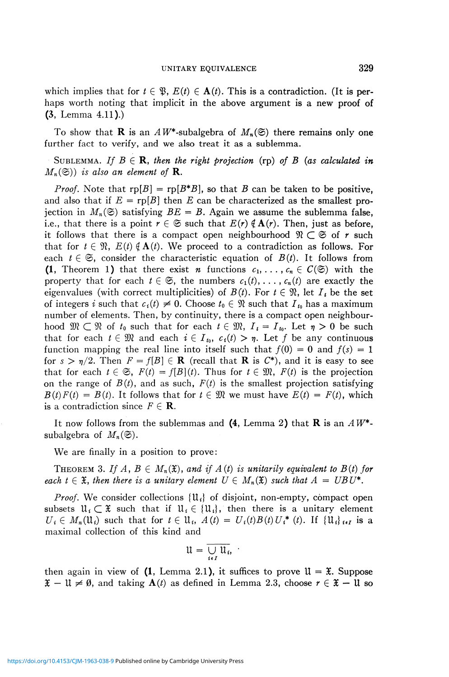which implies that for  $t \in \mathfrak{B}$ ,  $E(t) \in \mathbf{A}(t)$ . This is a contradiction. (It is perhaps worth noting that implicit in the above argument is a new proof of  $(3, Lemma 4.11).)$ 

To show that **R** is an  $AW^*$ -subalgebra of  $M_n(\mathfrak{S})$  there remains only one further fact to verify, and we also treat it as a sublemma.

SUBLEMMA. If  $B \in \mathbf{R}$ , then the right projection (rp) of B (as calculated in  $M_n(\mathfrak{S})$ *)* is also an element of **R**.

*Proof.* Note that  $rp[B] = rp[B*B]$ , so that *B* can be taken to be positive, and also that if  $E = r p[B]$  then E can be characterized as the smallest projection in  $M_n(\mathfrak{S})$  satisfying  $BE = B$ . Again we assume the sublemma false, i.e., that there is a point  $r \in \mathfrak{S}$  such that  $E(r) \notin \mathbf{A}(r)$ . Then, just as before, it follows that there is a compact open neighbourhood  $\mathcal{R} \subset \mathfrak{S}$  of r such that for  $t \in \mathfrak{N}$ ,  $E(t) \notin \mathbf{A}(t)$ . We proceed to a contradiction as follows. For each  $t \in \mathfrak{S}$ , consider the characteristic equation of  $B(t)$ . It follows from (1, Theorem 1) that there exist *n* functions  $c_1, \ldots, c_n \in C(\mathfrak{S})$  with the property that for each  $t \in \mathfrak{S}$ , the numbers  $c_1(t), \ldots, c_n(t)$  are exactly the eigenvalues (with correct multiplicities) of  $B(t)$ . For  $t \in \mathcal{R}$ , let  $I_t$  be the set of integers *i* such that  $c_i(t) \neq 0$ . Choose  $t_0 \in \mathcal{R}$  such that  $I_{t_0}$  has a maximum number of elements. Then, by continuity, there is a compact open neighbourhood  $\mathfrak{M} \subset \mathfrak{N}$  of  $t_0$  such that for each  $t \in \mathfrak{M}$ ,  $I_t = I_{t_0}$ . Let  $\eta > 0$  be such that for each  $t \in \mathfrak{M}$  and each  $i \in I_{t_0}$ ,  $c_i(t) > \eta$ . Let f be any continuous function mapping the real line into itself such that  $f(0) = 0$  and  $f(s) = 1$ for  $s > \eta/2$ . Then  $F = f[B] \in \mathbf{R}$  (recall that **R** is  $C^*$ ), and it is easy to see that for each  $t \in \mathfrak{S}$ ,  $F(t) = f[B](t)$ . Thus for  $t \in \mathfrak{M}$ ,  $F(t)$  is the projection on the range of  $B(t)$ , and as such,  $F(t)$  is the smallest projection satisfying  $B(t)F(t) = B(t)$ . It follows that for  $t \in \mathfrak{M}$  we must have  $E(t) = F(t)$ , which is a contradiction since  $F \in \mathbf{R}$ .

It now follows from the sublemmas and (4, Lemma 2) that R is an *AW\** subalgebra of  $M_n(\mathfrak{S})$ .

We are finally in a position to prove:

THEOREM 3. If  $A, B \in M_n(\mathfrak{X})$ , and if  $A(t)$  is unitarily equivalent to  $B(t)$  for *each*  $t \in \mathfrak{X}$ , then there is a unitary element  $U \in M_n(\mathfrak{X})$  such that  $A = UBU^*$ .

*Proof.* We consider collections  $\{U_i\}$  of disjoint, non-empty, compact open subsets  $\mathfrak{U}_i \subset \mathfrak{X}$  such that if  $\mathfrak{U}_i \in \{ \mathfrak{U}_i \}$ , then there is a unitary element  $U_i \in M_n(\mathfrak{U}_i)$  such that for  $t \in \mathfrak{U}_i$ ,  $A(t) = U_i(t)B(t)U_i^*(t)$ . If  $\{\mathfrak{U}_i\}_{i \in I}$  is a maximal collection of this kind and

$$
\mathfrak{U}=\overline{\bigcup_{i\in I}\mathfrak{U}_i},\quad
$$

then again in view of  $(1, L)$  Lemma 2.1), it suffices to prove  $\mathfrak{U} = \mathfrak{X}$ . Suppose  $\mathfrak{X} - \mathfrak{U} \neq \emptyset$ , and taking  $\mathbf{A}(t)$  as defined in Lemma 2.3, choose  $r \in \mathfrak{X} - \mathfrak{U}$  so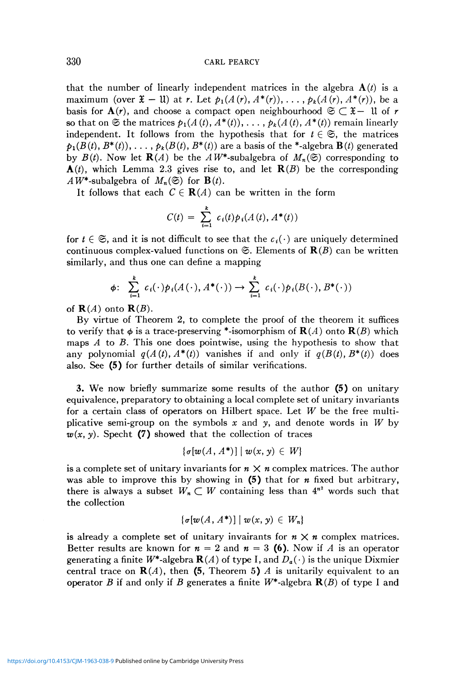## 330 CARL PEARCY

that the number of linearly independent matrices in the algebra  $\mathbf{A}(t)$  is a maximum (over  $\mathfrak{X} - \mathfrak{U}$ ) at *r*. Let  $p_1(A(r), A^*(r)), \ldots, p_k(A(r), A^*(r)),$  be a basis for  $A(r)$ , and choose a compact open neighbourhood  $\mathfrak{S} \subset \mathfrak{X}$   $-$  U of r so that on  $\mathfrak{S}$  the matrices  $p_1(A(t), A^*(t)), \ldots, p_k(A(t), A^*(t))$  remain linearly independent. It follows from the hypothesis that for  $t \in \mathfrak{S}$ , the matrices  $p_1(B(t), B^*(t)), \ldots, p_k(B(t), B^*(t))$  are a basis of the \*-algebra  $\mathbf{B}(t)$  generated by  $B(t)$ . Now let **R**(A) be the AW<sup>\*</sup>-subalgebra of  $M_n(\mathfrak{S})$  corresponding to  $\mathbf{A}(t)$ , which Lemma 2.3 gives rise to, and let  $\mathbf{R}(B)$  be the corresponding  $AW^*$ -subalgebra of  $M_n(\mathfrak{S})$  for  $\mathbf{B}(t)$ .

It follows that each  $C \in \mathbf{R}(A)$  can be written in the form

$$
C(t) = \sum_{i=1}^{k} c_i(t) p_i(A(t), A^*(t))
$$

for  $t \in \mathfrak{S}$ , and it is not difficult to see that the  $c_i(\cdot)$  are uniquely determined continuous complex-valued functions on  $\mathfrak{S}$ . Elements of  $\mathbf{R}(\mathcal{B})$  can be written similarly, and thus one can define a mapping

$$
\phi\colon \sum_{i=1}^k c_i(\cdot) p_i(A(\cdot), A^*(\cdot)) \to \sum_{i=1}^k c_i(\cdot) p_i(B(\cdot), B^*(\cdot))
$$

of  $R(A)$  onto  $R(B)$ .

By virtue of Theorem 2, to complete the proof of the theorem it suffices to verify that  $\phi$  is a trace-preserving \*-isomorphism of  $\mathbf{R}(A)$  onto  $\mathbf{R}(B)$  which maps  $A$  to  $B$ . This one does pointwise, using the hypothesis to show that any polynomial  $q(A(t), A^*(t))$  vanishes if and only if  $q(B(t), B^*(t))$  does also. See (5) for further details of similar verifications.

3. We now briefly summarize some results of the author (5) on unitary equivalence, preparatory to obtaining a local complete set of unitary invariants for a certain class of operators on Hilbert space. Let *W* be the free multiplicative semi-group on the symbols *x* and *y,* and denote words in *W* by  $w(x, y)$ . Specht (7) showed that the collection of traces

$$
\{\sigma[w(A, A^*)] \mid w(x, y) \in W\}
$$

is a complete set of unitary invariants for  $n \times n$  complex matrices. The author was able to improve this by showing in (5) that for *n* fixed but arbitrary, there is always a subset  $W_n \subset W$  containing less than  $4^{n^2}$  words such that the collection

$$
\{\sigma[w(A, A^*)] \mid w(x, y) \in W_n\}
$$

is already a complete set of unitary invairants for  $n \times n$  complex matrices. Better results are known for  $n = 2$  and  $n = 3$  (6). Now if A is an operator generating a finite  $W^*$ -algebra  $\mathbf{R}(A)$  of type I, and  $D_a(\cdot)$  is the unique Dixmier central trace on  $\mathbf{R}(A)$ , then (5, Theorem 5) A is unitarily equivalent to an operator *B* if and only if *B* generates a finite  $W^*$ -algebra  $\mathbf{R}(B)$  of type I and